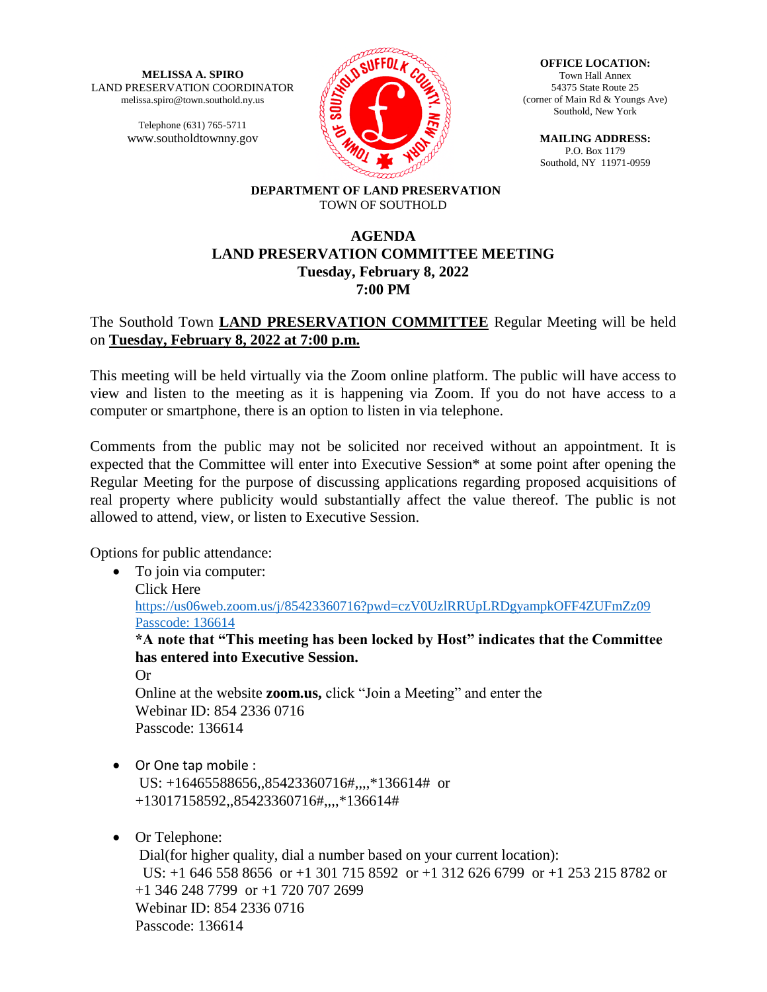**MELISSA A. SPIRO** LAND PRESERVATION COORDINATOR melissa.spiro@town.southold.ny.us

> Telephone (631) 765-5711 www.southoldtownny.gov



**OFFICE LOCATION:** Town Hall Annex 54375 State Route 25 (corner of Main Rd & Youngs Ave) Southold, New York

> **MAILING ADDRESS:** P.O. Box 1179 Southold, NY 11971-0959

#### **DEPARTMENT OF LAND PRESERVATION** TOWN OF SOUTHOLD

## **AGENDA LAND PRESERVATION COMMITTEE MEETING Tuesday, February 8, 2022 7:00 PM**

## The Southold Town **LAND PRESERVATION COMMITTEE** Regular Meeting will be held on **Tuesday, February 8, 2022 at 7:00 p.m.**

This meeting will be held virtually via the Zoom online platform. The public will have access to view and listen to the meeting as it is happening via Zoom. If you do not have access to a computer or smartphone, there is an option to listen in via telephone.

Comments from the public may not be solicited nor received without an appointment. It is expected that the Committee will enter into Executive Session\* at some point after opening the Regular Meeting for the purpose of discussing applications regarding proposed acquisitions of real property where publicity would substantially affect the value thereof. The public is not allowed to attend, view, or listen to Executive Session.

Options for public attendance:

• To join via computer: Click Here https://us06web.zoom.us/j/85423360716?pwd=czV0UzlRRUpLRDgyampkOFF4ZUFmZz09 Passcode: 136614 **\*A note that "This meeting has been locked by Host" indicates that the Committee has entered into Executive Session.**

Or Online at the website **zoom.us,** click "Join a Meeting" and enter the Webinar ID: 854 2336 0716 Passcode: 136614

 Or One tap mobile : US: +16465588656,,85423360716#,,,,\*136614# or +13017158592,,85423360716#,,,,\*136614#

# • Or Telephone:

Dial(for higher quality, dial a number based on your current location): US: +1 646 558 8656 or +1 301 715 8592 or +1 312 626 6799 or +1 253 215 8782 or +1 346 248 7799 or +1 720 707 2699 Webinar ID: 854 2336 0716 Passcode: 136614